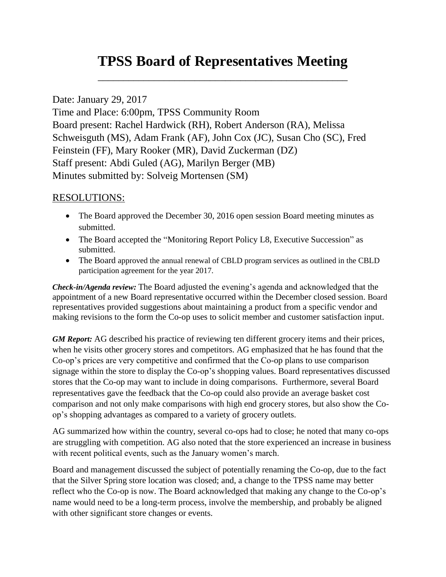## **TPSS Board of Representatives Meeting**

\_\_\_\_\_\_\_\_\_\_\_\_\_\_\_\_\_\_\_\_\_\_\_\_\_\_\_\_\_\_\_\_\_\_\_\_\_\_\_\_\_\_\_\_\_\_\_\_\_

## Date: January 29, 2017

Time and Place: 6:00pm, TPSS Community Room Board present: Rachel Hardwick (RH), Robert Anderson (RA), Melissa Schweisguth (MS), Adam Frank (AF), John Cox (JC), Susan Cho (SC), Fred Feinstein (FF), Mary Rooker (MR), David Zuckerman (DZ) Staff present: Abdi Guled (AG), Marilyn Berger (MB) Minutes submitted by: Solveig Mortensen (SM)

## RESOLUTIONS:

- The Board approved the December 30, 2016 open session Board meeting minutes as submitted.
- The Board accepted the "Monitoring Report Policy L8, Executive Succession" as submitted.
- The Board approved the annual renewal of CBLD program services as outlined in the CBLD participation agreement for the year 2017.

*Check-in/Agenda review:* The Board adjusted the evening's agenda and acknowledged that the appointment of a new Board representative occurred within the December closed session. Board representatives provided suggestions about maintaining a product from a specific vendor and making revisions to the form the Co-op uses to solicit member and customer satisfaction input.

*GM Report:* AG described his practice of reviewing ten different grocery items and their prices, when he visits other grocery stores and competitors. AG emphasized that he has found that the Co-op's prices are very competitive and confirmed that the Co-op plans to use comparison signage within the store to display the Co-op's shopping values. Board representatives discussed stores that the Co-op may want to include in doing comparisons. Furthermore, several Board representatives gave the feedback that the Co-op could also provide an average basket cost comparison and not only make comparisons with high end grocery stores, but also show the Coop's shopping advantages as compared to a variety of grocery outlets.

AG summarized how within the country, several co-ops had to close; he noted that many co-ops are struggling with competition. AG also noted that the store experienced an increase in business with recent political events, such as the January women's march.

Board and management discussed the subject of potentially renaming the Co-op, due to the fact that the Silver Spring store location was closed; and, a change to the TPSS name may better reflect who the Co-op is now. The Board acknowledged that making any change to the Co-op's name would need to be a long-term process, involve the membership, and probably be aligned with other significant store changes or events.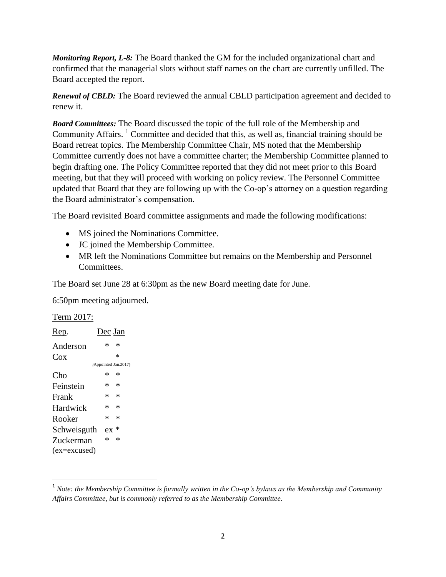*Monitoring Report, L-8:* The Board thanked the GM for the included organizational chart and confirmed that the managerial slots without staff names on the chart are currently unfilled. The Board accepted the report.

*Renewal of CBLD:* The Board reviewed the annual CBLD participation agreement and decided to renew it.

*Board Committees:* The Board discussed the topic of the full role of the Membership and Community Affairs. <sup>1</sup> Committee and decided that this, as well as, financial training should be Board retreat topics. The Membership Committee Chair, MS noted that the Membership Committee currently does not have a committee charter; the Membership Committee planned to begin drafting one. The Policy Committee reported that they did not meet prior to this Board meeting, but that they will proceed with working on policy review. The Personnel Committee updated that Board that they are following up with the Co-op's attorney on a question regarding the Board administrator's compensation.

The Board revisited Board committee assignments and made the following modifications:

- MS joined the Nominations Committee.
- JC joined the Membership Committee.
- MR left the Nominations Committee but remains on the Membership and Personnel Committees.

The Board set June 28 at 6:30pm as the new Board meeting date for June.

6:50pm meeting adjourned.

Term 2017:

 $\overline{a}$ 

| $\ast$ | $\ast$                                                                                                       |
|--------|--------------------------------------------------------------------------------------------------------------|
|        | $\ast$                                                                                                       |
|        |                                                                                                              |
| * .    | 氺                                                                                                            |
|        |                                                                                                              |
|        |                                                                                                              |
|        |                                                                                                              |
|        |                                                                                                              |
|        |                                                                                                              |
| $\ast$ | *                                                                                                            |
|        |                                                                                                              |
|        | Dec Jan<br>(Appointed Jan.2017)<br>$*$ *<br>$*$ *<br>$\ast$ $\ast$<br>$\ast$ $\ast$<br>$ex *$<br>Schweisguth |

<sup>&</sup>lt;sup>1</sup> Note: the Membership Committee is formally written in the Co-op's bylaws as the Membership and Community *Affairs Committee, but is commonly referred to as the Membership Committee.*